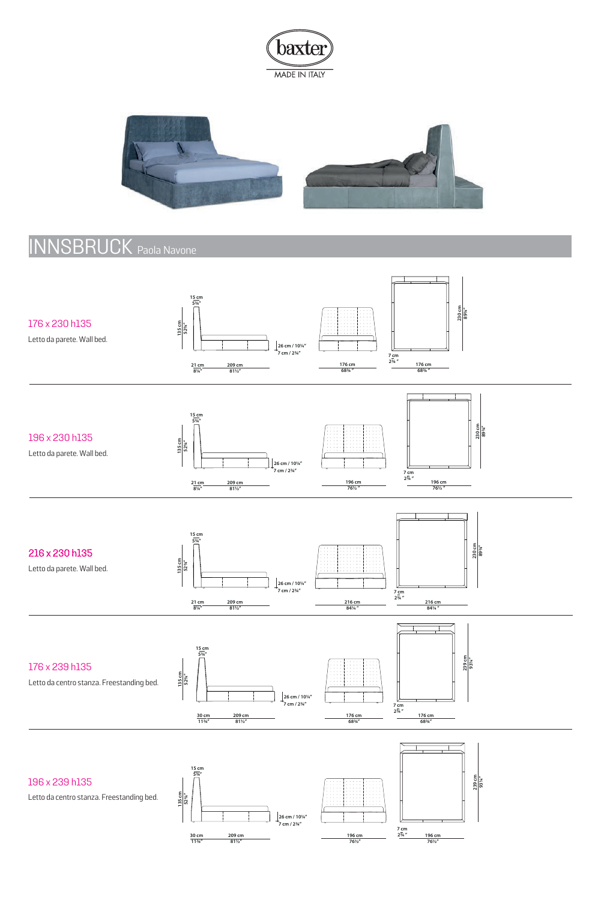



## INNSBRUCK Paola Navone